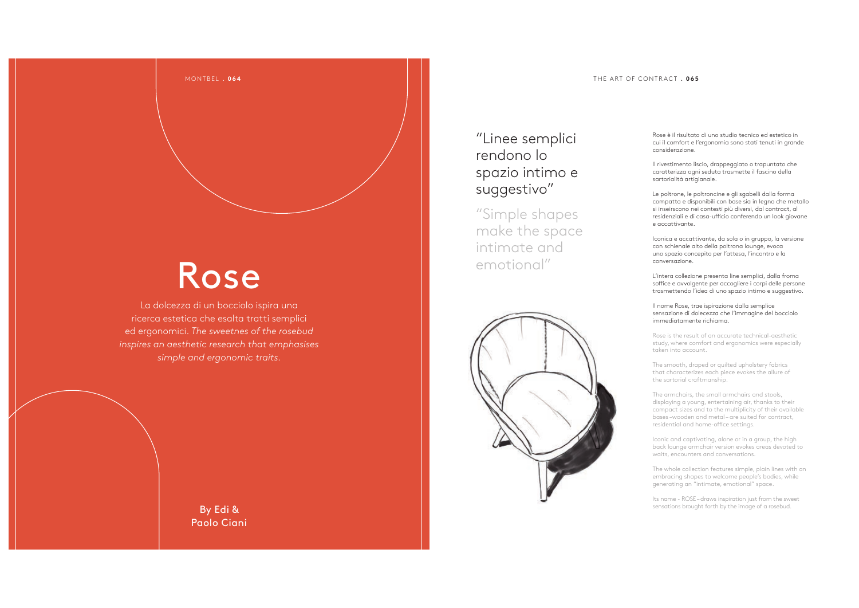### THE ART OF CONTRACT . **065**

# Rose

MONTBEL . **064**

La dolcezza di un bocciolo ispira una ricerca estetica che esalta tratti semplici ed ergonomici. *The sweetnes of the rosebud inspires an aesthetic research that emphasises simple and ergonomic traits.*

## "Linee semplici rendono lo spazio intimo e suggestivo"

"Simple shapes make the space intimate and emotional"



Rose è il risultato di uno studio tecnico ed estetico in cui il comfort e l'ergonomia sono stati tenuti in grande considerazione.

Il rivestimento liscio, drappeggiato o trapuntato che caratterizza ogni seduta trasmette il fascino della sartorialità artigianale.

Le poltrone, le poltroncine e gli sgabelli dalla forma compatta e disponibili con base sia in legno che metallo si inseirscono nei contesti più diversi, dal contract, al residenziali e di casa-ufficio conferendo un look giovane e accattivante.

Iconica e accattivante, da sola o in gruppo, la versione con schienale alto della poltrona lounge, evoca uno spazio concepito per l'attesa, l'incontro e la conversazione.

L'intera collezione presenta line semplici, dalla froma soffice e avvolgente per accogliere i corpi delle persone trasmettendo l'idea di uno spazio intimo e suggestivo.

Il nome Rose, trae ispirazione dalla semplice sensazione di dolecezza che l'immagine del bocciolo immediatamente richiama.

Rose is the result of an accurate technical-aesthetic study, where comfort and ergonomics were especially taken into account.

The smooth, draped or quilted upholstery fabrics that characterizes each piece evokes the allure of the sartorial craftmanship.

The armchairs, the small armchairs and stools, displaying a young, entertaining air, thanks to their compact sizes and to the multiplicity of their available bases –wooden and metal – are suited for contract, residential and home-office settings.

Iconic and captivating, alone or in a group, the high back lounge armchair version evokes areas devoted to waits, encounters and conversations.

The whole collection features simple, plain lines with an embracing shapes to welcome people's bodies, while generating an "intimate, emotional" space.

Its name - ROSE – draws inspiration just from the sweet sensations brought forth by the image of a rosebud.

By Edi & Paolo Ciani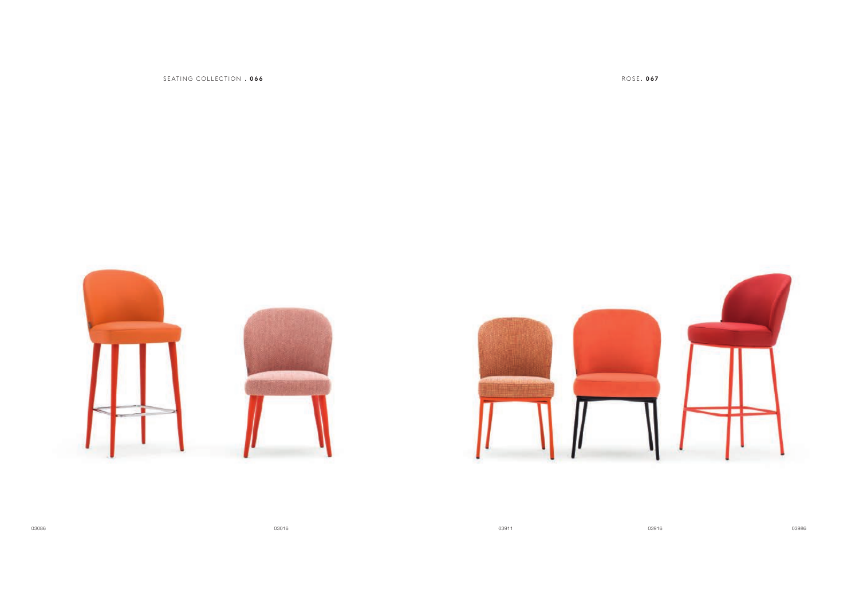SEATING COLLECTION . **066** ROSE . **067**



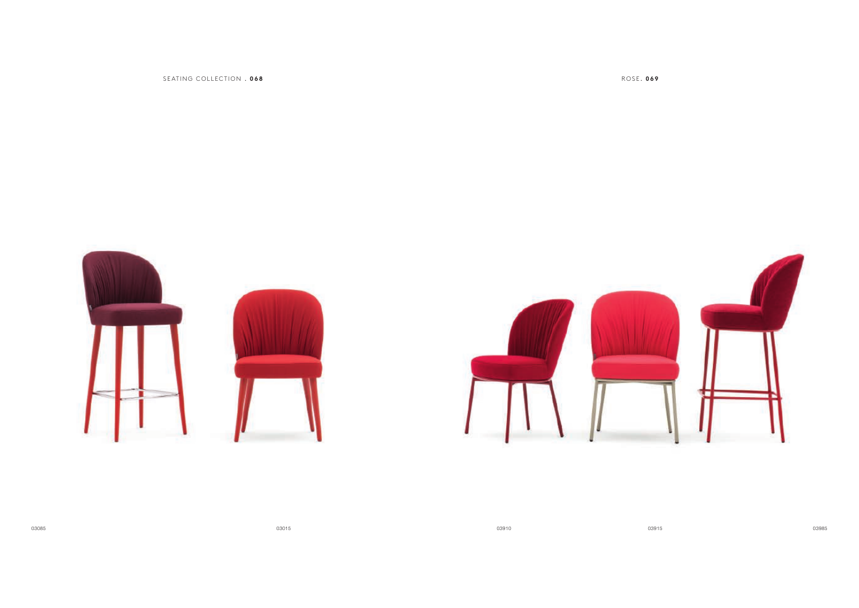SEATING COLLECTION . **068** ROSE . **069**



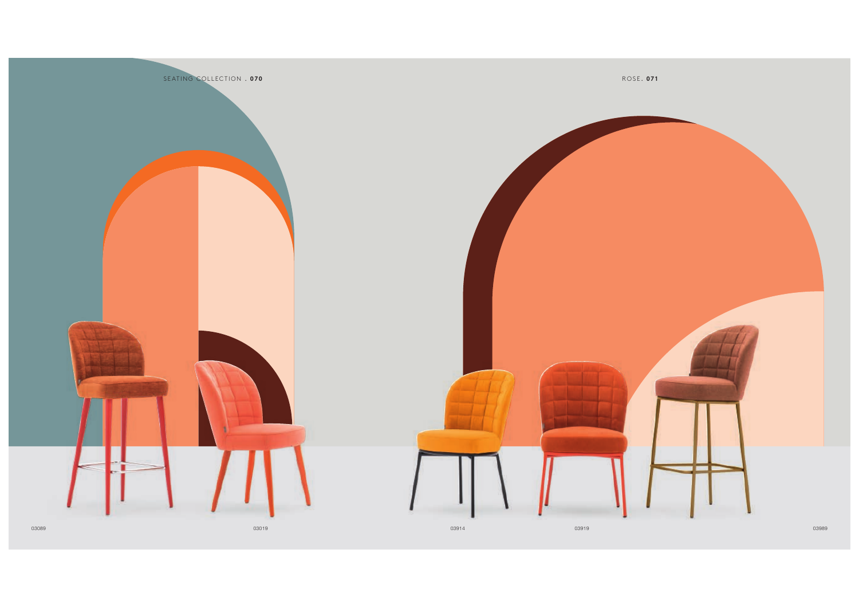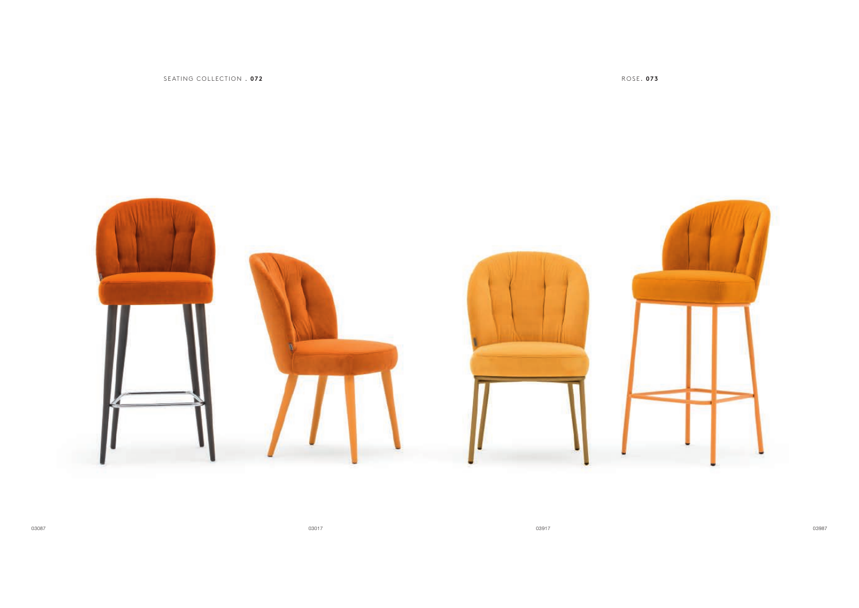SEATING COLLECTION . **072** ROSE . **073**

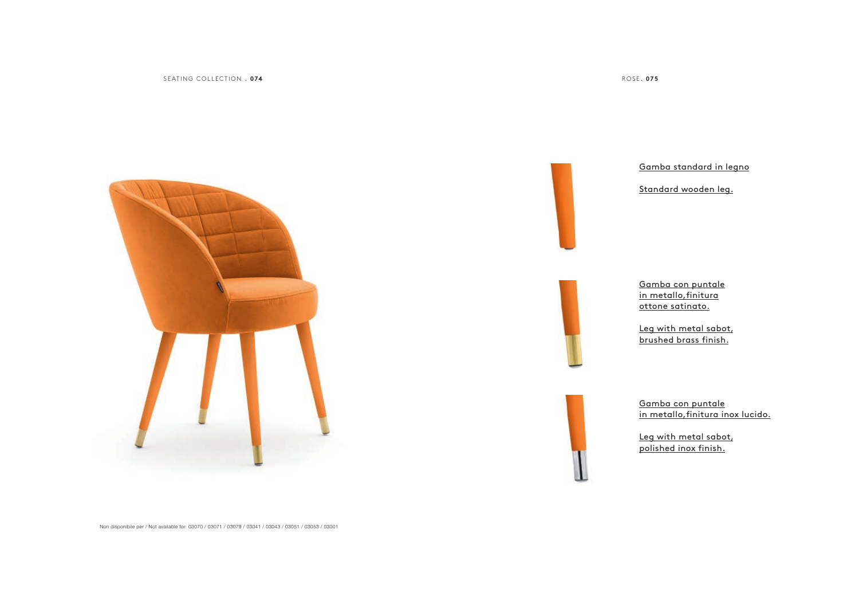SEATING COLLECTION . **074** ROSE . **075**





Non disponibile per / Not available for: 03070 / 03071 / 03079 / 03041 / 03043 / 03051 / 03053 / 03001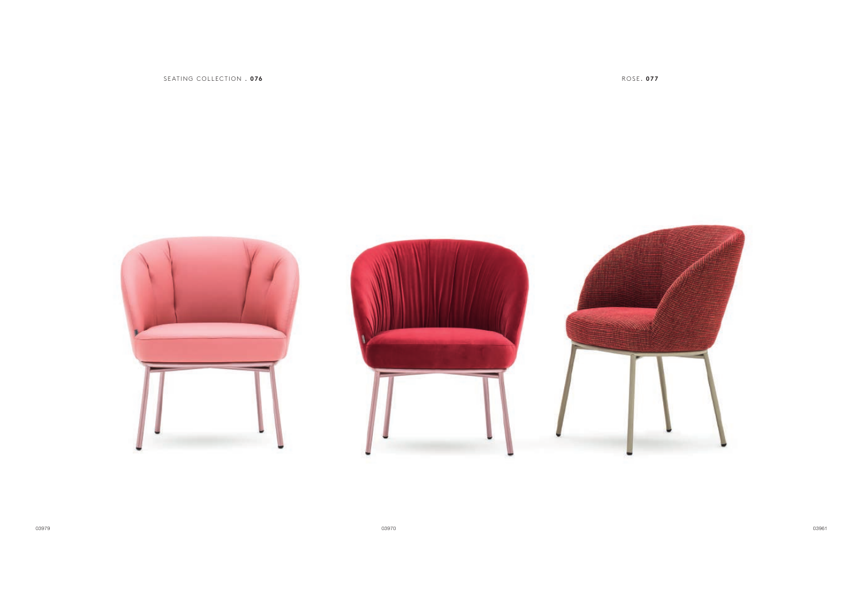

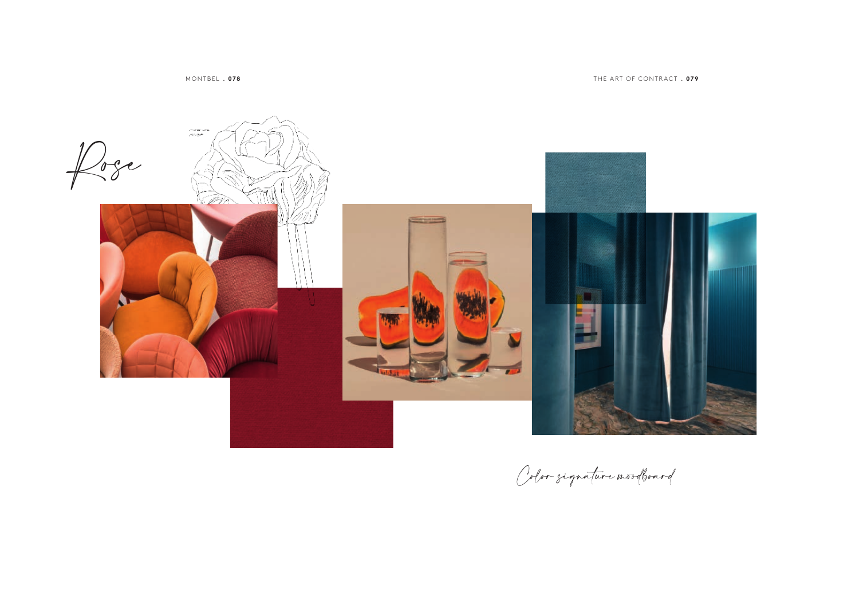MONTBEL . **078**

THE ART OF CONTRACT . **079**



Color signature mordboard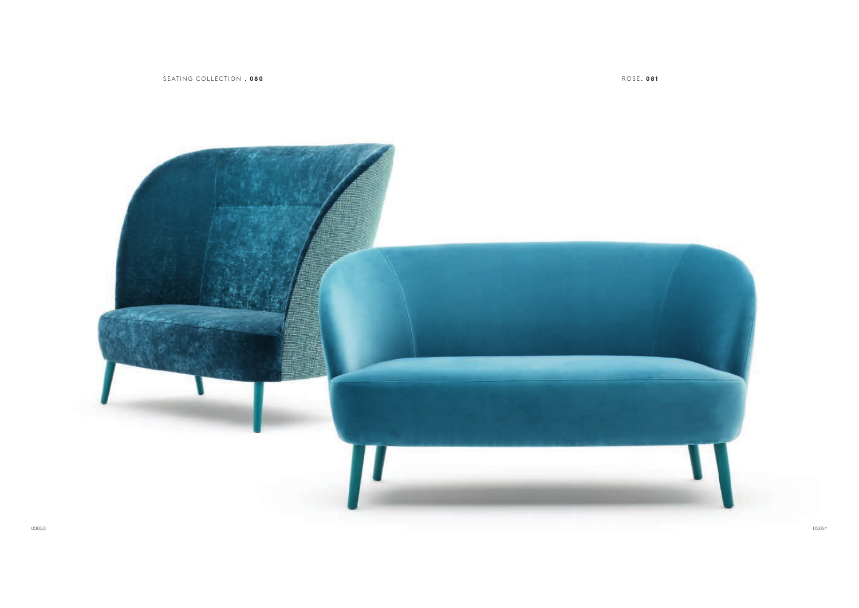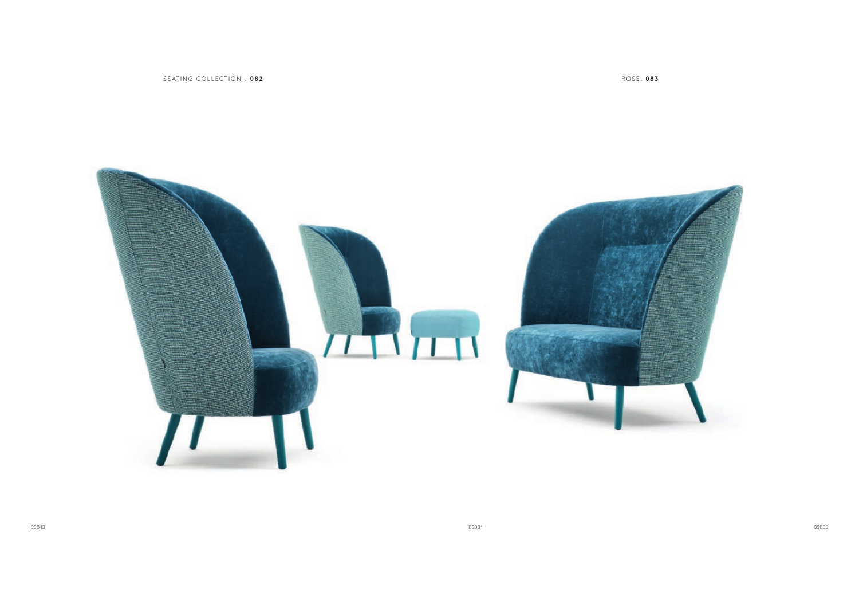